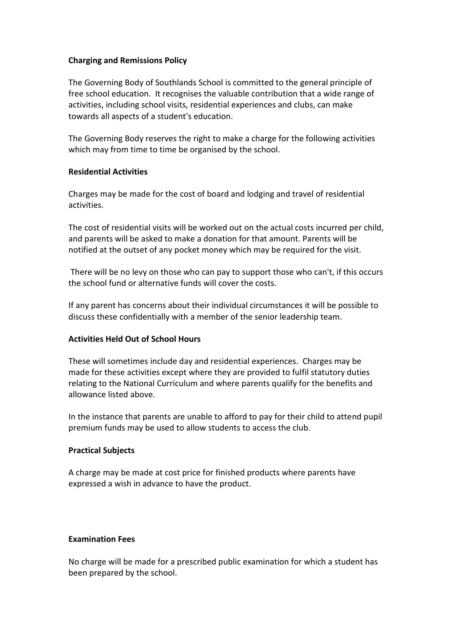## **Charging and Remissions Policy**

The Governing Body of Southlands School is committed to the general principle of free school education. It recognises the valuable contribution that a wide range of activities, including school visits, residential experiences and clubs, can make towards all aspects of a student's education.

The Governing Body reserves the right to make a charge for the following activities which may from time to time be organised by the school.

# **Residential Activities**

Charges may be made for the cost of board and lodging and travel of residential activities.

The cost of residential visits will be worked out on the actual costs incurred per child, and parents will be asked to make a donation for that amount. Parents will be notified at the outset of any pocket money which may be required for the visit.

There will be no levy on those who can pay to support those who can't, if this occurs the school fund or alternative funds will cover the costs.

If any parent has concerns about their individual circumstances it will be possible to discuss these confidentially with a member of the senior leadership team.

# **Activities Held Out of School Hours**

These will sometimes include day and residential experiences. Charges may be made for these activities except where they are provided to fulfil statutory duties relating to the National Curriculum and where parents qualify for the benefits and allowance listed above.

In the instance that parents are unable to afford to pay for their child to attend pupil premium funds may be used to allow students to access the club.

#### **Practical Subjects**

A charge may be made at cost price for finished products where parents have expressed a wish in advance to have the product.

#### **Examination Fees**

No charge will be made for a prescribed public examination for which a student has been prepared by the school.